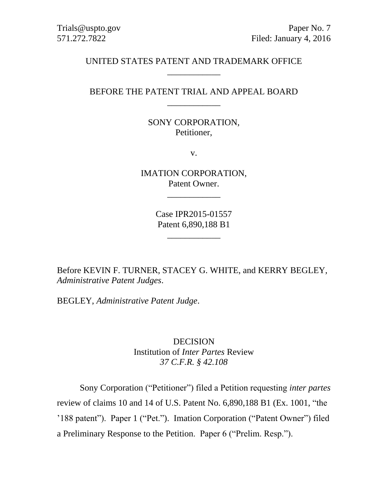### UNITED STATES PATENT AND TRADEMARK OFFICE \_\_\_\_\_\_\_\_\_\_\_\_

### BEFORE THE PATENT TRIAL AND APPEAL BOARD \_\_\_\_\_\_\_\_\_\_\_\_

### SONY CORPORATION, Petitioner,

v.

IMATION CORPORATION, Patent Owner.

\_\_\_\_\_\_\_\_\_\_\_\_

Case IPR2015-01557 Patent 6,890,188 B1

\_\_\_\_\_\_\_\_\_\_\_\_

Before KEVIN F. TURNER, STACEY G. WHITE, and KERRY BEGLEY, *Administrative Patent Judges*.

BEGLEY, *Administrative Patent Judge*.

DECISION Institution of *Inter Partes* Review *37 C.F.R. § 42.108*

Sony Corporation ("Petitioner") filed a Petition requesting *inter partes* review of claims 10 and 14 of U.S. Patent No. 6,890,188 B1 (Ex. 1001, "the '188 patent"). Paper 1 ("Pet."). Imation Corporation ("Patent Owner") filed a Preliminary Response to the Petition. Paper 6 ("Prelim. Resp.").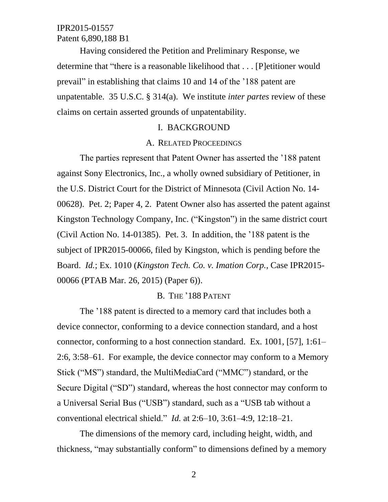Having considered the Petition and Preliminary Response, we determine that "there is a reasonable likelihood that . . . [P]etitioner would prevail" in establishing that claims 10 and 14 of the '188 patent are unpatentable. 35 U.S.C. § 314(a). We institute *inter partes* review of these claims on certain asserted grounds of unpatentability.

#### I. BACKGROUND

#### A. RELATED PROCEEDINGS

The parties represent that Patent Owner has asserted the '188 patent against Sony Electronics, Inc., a wholly owned subsidiary of Petitioner, in the U.S. District Court for the District of Minnesota (Civil Action No. 14- 00628). Pet. 2; Paper 4, 2. Patent Owner also has asserted the patent against Kingston Technology Company, Inc. ("Kingston") in the same district court (Civil Action No. 14-01385). Pet. 3. In addition, the '188 patent is the subject of IPR2015-00066, filed by Kingston, which is pending before the Board. *Id.*; Ex. 1010 (*Kingston Tech. Co. v. Imation Corp.*, Case IPR2015- 00066 (PTAB Mar. 26, 2015) (Paper 6)).

#### B. THE '188 PATENT

The '188 patent is directed to a memory card that includes both a device connector, conforming to a device connection standard, and a host connector, conforming to a host connection standard. Ex. 1001, [57], 1:61– 2:6, 3:58–61. For example, the device connector may conform to a Memory Stick ("MS") standard, the MultiMediaCard ("MMC") standard, or the Secure Digital ("SD") standard, whereas the host connector may conform to a Universal Serial Bus ("USB") standard, such as a "USB tab without a conventional electrical shield." *Id.* at 2:6–10, 3:61–4:9, 12:18–21.

The dimensions of the memory card, including height, width, and thickness, "may substantially conform" to dimensions defined by a memory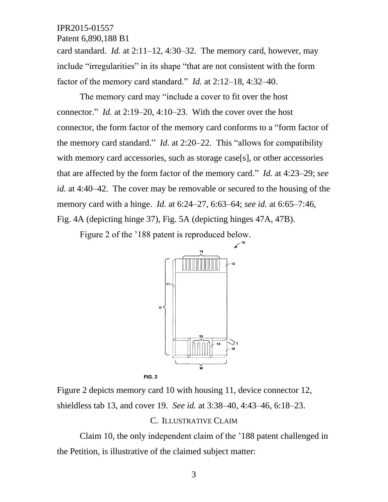Patent 6,890,188 B1

card standard. *Id.* at 2:11–12, 4:30–32. The memory card, however, may include "irregularities" in its shape "that are not consistent with the form factor of the memory card standard." *Id.* at 2:12–18, 4:32–40.

The memory card may "include a cover to fit over the host connector." *Id.* at 2:19–20, 4:10–23. With the cover over the host connector, the form factor of the memory card conforms to a "form factor of the memory card standard." *Id.* at 2:20–22. This "allows for compatibility with memory card accessories, such as storage case[s], or other accessories that are affected by the form factor of the memory card." *Id.* at 4:23–29; *see id.* at 4:40–42. The cover may be removable or secured to the housing of the memory card with a hinge. *Id.* at 6:24–27, 6:63–64; *see id.* at 6:65–7:46, Fig. 4A (depicting hinge 37), Fig. 5A (depicting hinges 47A, 47B).

Figure 2 of the '188 patent is reproduced below.



Figure 2 depicts memory card 10 with housing 11, device connector 12, shieldless tab 13, and cover 19. *See id.* at 3:38–40, 4:43–46, 6:18–23.

### C. ILLUSTRATIVE CLAIM

Claim 10, the only independent claim of the '188 patent challenged in the Petition, is illustrative of the claimed subject matter: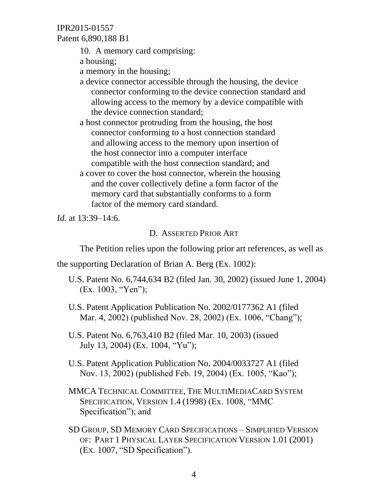Patent 6,890,188 B1

10. A memory card comprising:

a housing;

a memory in the housing;

a device connector accessible through the housing, the device connector conforming to the device connection standard and allowing access to the memory by a device compatible with the device connection standard;

a host connector protruding from the housing, the host connector conforming to a host connection standard and allowing access to the memory upon insertion of the host connector into a computer interface compatible with the host connection standard; and

a cover to cover the host connector, wherein the housing and the cover collectively define a form factor of the memory card that substantially conforms to a form factor of the memory card standard.

*Id.* at 13:39–14:6.

### D. ASSERTED PRIOR ART

The Petition relies upon the following prior art references, as well as

the supporting Declaration of Brian A. Berg (Ex. 1002):

- U.S. Patent No. 6,744,634 B2 (filed Jan. 30, 2002) (issued June 1, 2004) (Ex. 1003, "Yen");
- U.S. Patent Application Publication No. 2002/0177362 A1 (filed Mar. 4, 2002) (published Nov. 28, 2002) (Ex. 1006, "Chang");
- U.S. Patent No. 6,763,410 B2 (filed Mar. 10, 2003) (issued July 13, 2004) (Ex. 1004, "Yu");
- U.S. Patent Application Publication No. 2004/0033727 A1 (filed Nov. 13, 2002) (published Feb. 19, 2004) (Ex. 1005, "Kao");
- MMCA TECHNICAL COMMITTEE, THE MULTIMEDIACARD SYSTEM SPECIFICATION, VERSION 1.4 (1998) (Ex. 1008, "MMC Specification"); and
- SD GROUP, SD MEMORY CARD SPECIFICATIONS SIMPLIFIED VERSION OF: PART 1 PHYSICAL LAYER SPECIFICATION VERSION 1.01 (2001) (EX. 1007, "SD Specification").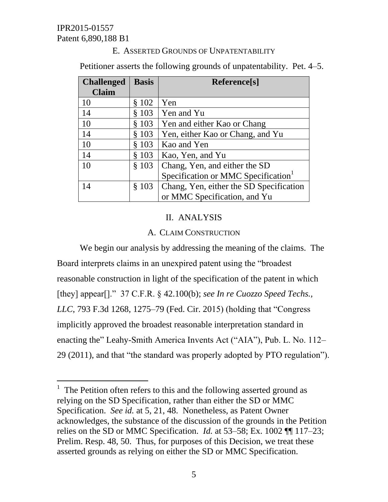$\overline{a}$ 

### E. ASSERTED GROUNDS OF UNPATENTABILITY

Petitioner asserts the following grounds of unpatentability. Pet. 4–5.

| <b>Challenged</b> | <b>Basis</b> | Reference[s]                            |
|-------------------|--------------|-----------------------------------------|
| <b>Claim</b>      |              |                                         |
| 10                | \$102        | Yen                                     |
| 14                | \$103        | Yen and Yu                              |
| 10                | § 103        | Yen and either Kao or Chang             |
| 14                | § 103        | Yen, either Kao or Chang, and Yu        |
| 10                | \$103        | Kao and Yen                             |
| 14                | \$103        | Kao, Yen, and Yu                        |
| 10                | \$103        | Chang, Yen, and either the SD           |
|                   |              | Specification or MMC Specification      |
| 14                | \$103        | Chang, Yen, either the SD Specification |
|                   |              | or MMC Specification, and Yu            |

# II. ANALYSIS

# A. CLAIM CONSTRUCTION

We begin our analysis by addressing the meaning of the claims. The Board interprets claims in an unexpired patent using the "broadest reasonable construction in light of the specification of the patent in which [they] appear[]." 37 C.F.R. § 42.100(b); *see In re Cuozzo Speed Techs., LLC*, 793 F.3d 1268, 1275–79 (Fed. Cir. 2015) (holding that "Congress implicitly approved the broadest reasonable interpretation standard in enacting the" Leahy-Smith America Invents Act ("AIA"), Pub. L. No. 112– 29 (2011), and that "the standard was properly adopted by PTO regulation").

<sup>&</sup>lt;sup>1</sup> The Petition often refers to this and the following asserted ground as relying on the SD Specification, rather than either the SD or MMC Specification. *See id.* at 5, 21, 48. Nonetheless, as Patent Owner acknowledges, the substance of the discussion of the grounds in the Petition relies on the SD or MMC Specification. *Id.* at 53–58; Ex. 1002 ¶¶ 117–23; Prelim. Resp. 48, 50. Thus, for purposes of this Decision, we treat these asserted grounds as relying on either the SD or MMC Specification.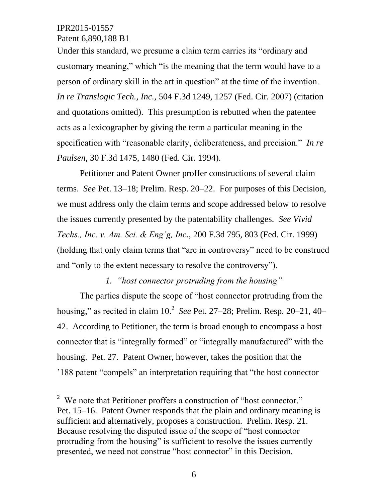$\overline{a}$ 

Under this standard, we presume a claim term carries its "ordinary and customary meaning," which "is the meaning that the term would have to a person of ordinary skill in the art in question" at the time of the invention. *In re Translogic Tech., Inc.*, 504 F.3d 1249, 1257 (Fed. Cir. 2007) (citation and quotations omitted). This presumption is rebutted when the patentee acts as a lexicographer by giving the term a particular meaning in the specification with "reasonable clarity, deliberateness, and precision." *In re Paulsen*, 30 F.3d 1475, 1480 (Fed. Cir. 1994).

Petitioner and Patent Owner proffer constructions of several claim terms. *See* Pet. 13–18; Prelim. Resp. 20–22. For purposes of this Decision, we must address only the claim terms and scope addressed below to resolve the issues currently presented by the patentability challenges. *See Vivid Techs., Inc. v. Am. Sci. & Eng'g, Inc*., 200 F.3d 795, 803 (Fed. Cir. 1999) (holding that only claim terms that "are in controversy" need to be construed and "only to the extent necessary to resolve the controversy").

*1. "host connector protruding from the housing"*

The parties dispute the scope of "host connector protruding from the housing," as recited in claim 10.<sup>2</sup> See Pet. 27–28; Prelim. Resp. 20–21, 40– 42. According to Petitioner, the term is broad enough to encompass a host connector that is "integrally formed" or "integrally manufactured" with the housing. Pet. 27. Patent Owner, however, takes the position that the '188 patent "compels" an interpretation requiring that "the host connector

<sup>&</sup>lt;sup>2</sup> We note that Petitioner proffers a construction of "host connector." Pet. 15–16. Patent Owner responds that the plain and ordinary meaning is sufficient and alternatively, proposes a construction. Prelim. Resp. 21. Because resolving the disputed issue of the scope of "host connector protruding from the housing" is sufficient to resolve the issues currently presented, we need not construe "host connector" in this Decision.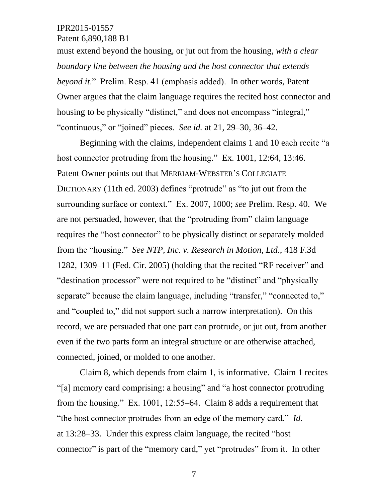must extend beyond the housing, or jut out from the housing, *with a clear boundary line between the housing and the host connector that extends beyond it*." Prelim. Resp. 41 (emphasis added). In other words, Patent Owner argues that the claim language requires the recited host connector and housing to be physically "distinct," and does not encompass "integral," "continuous," or "joined" pieces. *See id.* at 21, 29–30, 36–42.

Beginning with the claims, independent claims 1 and 10 each recite "a host connector protruding from the housing." Ex. 1001, 12:64, 13:46. Patent Owner points out that MERRIAM-WEBSTER'S COLLEGIATE DICTIONARY (11th ed. 2003) defines "protrude" as "to jut out from the surrounding surface or context." Ex. 2007, 1000; *see* Prelim. Resp. 40. We are not persuaded, however, that the "protruding from" claim language requires the "host connector" to be physically distinct or separately molded from the "housing." *See NTP, Inc. v. Research in Motion, Ltd.*, 418 F.3d 1282, 1309–11 (Fed. Cir. 2005) (holding that the recited "RF receiver" and "destination processor" were not required to be "distinct" and "physically separate" because the claim language, including "transfer," "connected to," and "coupled to," did not support such a narrow interpretation). On this record, we are persuaded that one part can protrude, or jut out, from another even if the two parts form an integral structure or are otherwise attached, connected, joined, or molded to one another.

Claim 8, which depends from claim 1, is informative. Claim 1 recites "[a] memory card comprising: a housing" and "a host connector protruding from the housing." Ex. 1001, 12:55–64. Claim 8 adds a requirement that "the host connector protrudes from an edge of the memory card." *Id.* at 13:28–33. Under this express claim language, the recited "host connector" is part of the "memory card," yet "protrudes" from it. In other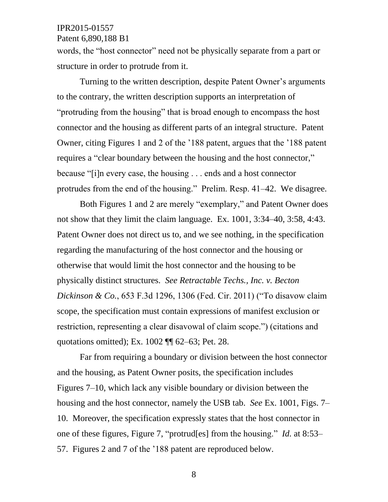Patent 6,890,188 B1

words, the "host connector" need not be physically separate from a part or structure in order to protrude from it.

Turning to the written description, despite Patent Owner's arguments to the contrary, the written description supports an interpretation of "protruding from the housing" that is broad enough to encompass the host connector and the housing as different parts of an integral structure. Patent Owner, citing Figures 1 and 2 of the '188 patent, argues that the '188 patent requires a "clear boundary between the housing and the host connector," because "[i]n every case, the housing . . . ends and a host connector protrudes from the end of the housing." Prelim. Resp. 41–42. We disagree.

Both Figures 1 and 2 are merely "exemplary," and Patent Owner does not show that they limit the claim language. Ex. 1001, 3:34–40, 3:58, 4:43. Patent Owner does not direct us to, and we see nothing, in the specification regarding the manufacturing of the host connector and the housing or otherwise that would limit the host connector and the housing to be physically distinct structures. *See Retractable Techs., Inc. v. Becton Dickinson & Co.*, 653 F.3d 1296, 1306 (Fed. Cir. 2011) ("To disavow claim scope, the specification must contain expressions of manifest exclusion or restriction, representing a clear disavowal of claim scope.") (citations and quotations omitted); Ex. 1002 ¶¶ 62–63; Pet. 28.

Far from requiring a boundary or division between the host connector and the housing, as Patent Owner posits, the specification includes Figures 7–10, which lack any visible boundary or division between the housing and the host connector, namely the USB tab. *See* Ex. 1001, Figs. 7– 10. Moreover, the specification expressly states that the host connector in one of these figures, Figure 7, "protrud[es] from the housing." *Id.* at 8:53– 57. Figures 2 and 7 of the '188 patent are reproduced below.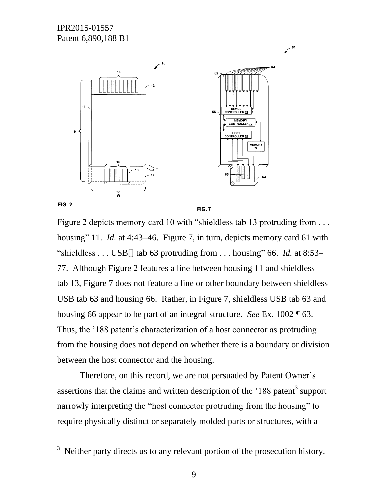

**FIG. 2** 

 $\overline{a}$ 

**FIG. 7** 

 $\chi$ <sup>61</sup>

Figure 2 depicts memory card 10 with "shieldless tab 13 protruding from ... housing" 11. *Id.* at 4:43–46. Figure 7, in turn, depicts memory card 61 with "shieldless . . . USB[] tab 63 protruding from . . . housing" 66. *Id.* at 8:53– 77. Although Figure 2 features a line between housing 11 and shieldless tab 13, Figure 7 does not feature a line or other boundary between shieldless USB tab 63 and housing 66. Rather, in Figure 7, shieldless USB tab 63 and housing 66 appear to be part of an integral structure. *See* Ex. 1002 ¶ 63. Thus, the '188 patent's characterization of a host connector as protruding from the housing does not depend on whether there is a boundary or division between the host connector and the housing.

Therefore, on this record, we are not persuaded by Patent Owner's assertions that the claims and written description of the  $188$  patent<sup>3</sup> support narrowly interpreting the "host connector protruding from the housing" to require physically distinct or separately molded parts or structures, with a

 $3$  Neither party directs us to any relevant portion of the prosecution history.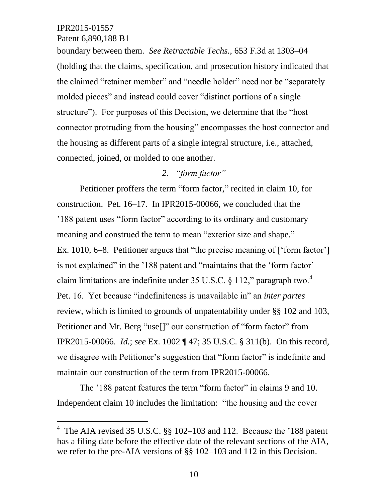l

Patent 6,890,188 B1

boundary between them. *See Retractable Techs.*, 653 F.3d at 1303–04 (holding that the claims, specification, and prosecution history indicated that the claimed "retainer member" and "needle holder" need not be "separately molded pieces" and instead could cover "distinct portions of a single structure"). For purposes of this Decision, we determine that the "host connector protruding from the housing" encompasses the host connector and the housing as different parts of a single integral structure, i.e., attached, connected, joined, or molded to one another.

# *2. "form factor"*

Petitioner proffers the term "form factor," recited in claim 10, for construction. Pet. 16–17. In IPR2015-00066, we concluded that the '188 patent uses "form factor" according to its ordinary and customary meaning and construed the term to mean "exterior size and shape." Ex. 1010, 6–8. Petitioner argues that "the precise meaning of ['form factor'] is not explained" in the '188 patent and "maintains that the 'form factor' claim limitations are indefinite under 35 U.S.C. § 112," paragraph two. $4$ Pet. 16. Yet because "indefiniteness is unavailable in" an *inter partes* review, which is limited to grounds of unpatentability under §§ 102 and 103, Petitioner and Mr. Berg "use<sup>[]"</sup> our construction of "form factor" from IPR2015-00066. *Id.*; *see* Ex. 1002 ¶ 47; 35 U.S.C. § 311(b). On this record, we disagree with Petitioner's suggestion that "form factor" is indefinite and maintain our construction of the term from IPR2015-00066.

The '188 patent features the term "form factor" in claims 9 and 10. Independent claim 10 includes the limitation: "the housing and the cover

<sup>&</sup>lt;sup>4</sup> The AIA revised 35 U.S.C.  $\S$  102–103 and 112. Because the '188 patent has a filing date before the effective date of the relevant sections of the AIA, we refer to the pre-AIA versions of §§ 102–103 and 112 in this Decision.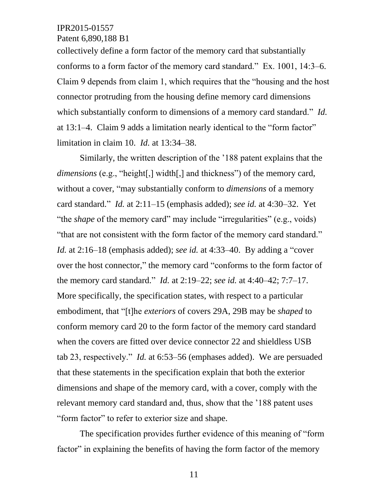Patent 6,890,188 B1

collectively define a form factor of the memory card that substantially conforms to a form factor of the memory card standard." Ex. 1001, 14:3–6. Claim 9 depends from claim 1, which requires that the "housing and the host connector protruding from the housing define memory card dimensions which substantially conform to dimensions of a memory card standard." *Id.* at 13:1–4. Claim 9 adds a limitation nearly identical to the "form factor" limitation in claim 10. *Id.* at 13:34–38.

Similarly, the written description of the '188 patent explains that the *dimensions* (e.g., "height[,] width[,] and thickness") of the memory card, without a cover, "may substantially conform to *dimensions* of a memory card standard." *Id.* at 2:11–15 (emphasis added); *see id.* at 4:30–32. Yet "the *shape* of the memory card" may include "irregularities" (e.g., voids) "that are not consistent with the form factor of the memory card standard." *Id.* at 2:16–18 (emphasis added); *see id.* at 4:33–40. By adding a "cover over the host connector," the memory card "conforms to the form factor of the memory card standard." *Id.* at 2:19–22; *see id.* at 4:40–42; 7:7–17. More specifically, the specification states, with respect to a particular embodiment, that "[t]he *exteriors* of covers 29A, 29B may be *shaped* to conform memory card 20 to the form factor of the memory card standard when the covers are fitted over device connector 22 and shieldless USB tab 23, respectively." *Id.* at 6:53–56 (emphases added). We are persuaded that these statements in the specification explain that both the exterior dimensions and shape of the memory card, with a cover, comply with the relevant memory card standard and, thus, show that the '188 patent uses "form factor" to refer to exterior size and shape.

The specification provides further evidence of this meaning of "form factor" in explaining the benefits of having the form factor of the memory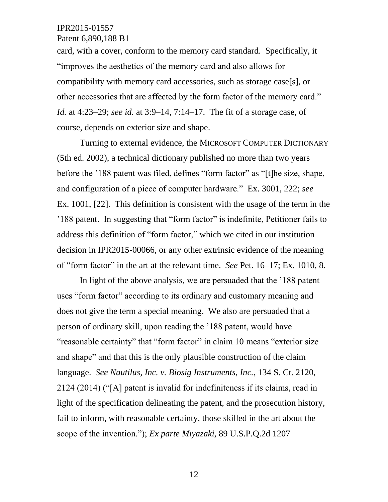Patent 6,890,188 B1

card, with a cover, conform to the memory card standard. Specifically, it "improves the aesthetics of the memory card and also allows for compatibility with memory card accessories, such as storage case[s], or other accessories that are affected by the form factor of the memory card." *Id.* at 4:23–29; *see id.* at 3:9–14, 7:14–17. The fit of a storage case, of course, depends on exterior size and shape.

Turning to external evidence, the MICROSOFT COMPUTER DICTIONARY (5th ed. 2002), a technical dictionary published no more than two years before the '188 patent was filed, defines "form factor" as "[t]he size, shape, and configuration of a piece of computer hardware." Ex. 3001, 222; *see* Ex. 1001, [22]. This definition is consistent with the usage of the term in the '188 patent. In suggesting that "form factor" is indefinite, Petitioner fails to address this definition of "form factor," which we cited in our institution decision in IPR2015-00066, or any other extrinsic evidence of the meaning of "form factor" in the art at the relevant time. *See* Pet. 16–17; Ex. 1010, 8.

In light of the above analysis, we are persuaded that the '188 patent uses "form factor" according to its ordinary and customary meaning and does not give the term a special meaning. We also are persuaded that a person of ordinary skill, upon reading the '188 patent, would have "reasonable certainty" that "form factor" in claim 10 means "exterior size and shape" and that this is the only plausible construction of the claim language. *See Nautilus, Inc. v. Biosig Instruments, Inc.*, 134 S. Ct. 2120, 2124 (2014) ("[A] patent is invalid for indefiniteness if its claims, read in light of the specification delineating the patent, and the prosecution history, fail to inform, with reasonable certainty, those skilled in the art about the scope of the invention."); *Ex parte Miyazaki*, 89 U.S.P.Q.2d 1207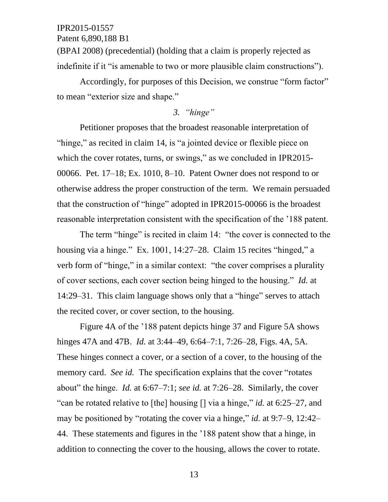(BPAI 2008) (precedential) (holding that a claim is properly rejected as indefinite if it "is amenable to two or more plausible claim constructions").

Accordingly, for purposes of this Decision, we construe "form factor" to mean "exterior size and shape."

# *3. "hinge"*

Petitioner proposes that the broadest reasonable interpretation of "hinge," as recited in claim 14, is "a jointed device or flexible piece on which the cover rotates, turns, or swings," as we concluded in IPR2015-00066. Pet. 17–18; Ex. 1010, 8–10. Patent Owner does not respond to or otherwise address the proper construction of the term. We remain persuaded that the construction of "hinge" adopted in IPR2015-00066 is the broadest reasonable interpretation consistent with the specification of the '188 patent.

The term "hinge" is recited in claim 14: "the cover is connected to the housing via a hinge." Ex. 1001, 14:27–28. Claim 15 recites "hinged," a verb form of "hinge," in a similar context: "the cover comprises a plurality of cover sections, each cover section being hinged to the housing." *Id.* at 14:29–31. This claim language shows only that a "hinge" serves to attach the recited cover, or cover section, to the housing.

Figure 4A of the '188 patent depicts hinge 37 and Figure 5A shows hinges 47A and 47B. *Id.* at 3:44–49, 6:64–7:1, 7:26–28, Figs. 4A, 5A. These hinges connect a cover, or a section of a cover, to the housing of the memory card. *See id.* The specification explains that the cover "rotates about" the hinge. *Id.* at 6:67–7:1; *see id.* at 7:26–28. Similarly, the cover "can be rotated relative to [the] housing [] via a hinge," *id.* at 6:25–27, and may be positioned by "rotating the cover via a hinge," *id.* at 9:7–9, 12:42– 44. These statements and figures in the '188 patent show that a hinge, in addition to connecting the cover to the housing, allows the cover to rotate.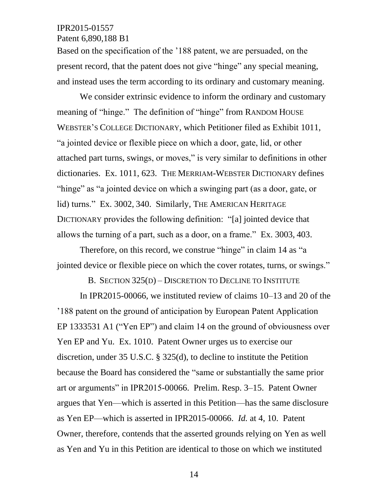Patent 6,890,188 B1

Based on the specification of the '188 patent, we are persuaded, on the present record, that the patent does not give "hinge" any special meaning, and instead uses the term according to its ordinary and customary meaning.

We consider extrinsic evidence to inform the ordinary and customary meaning of "hinge." The definition of "hinge" from RANDOM HOUSE WEBSTER'S COLLEGE DICTIONARY, which Petitioner filed as Exhibit 1011, "a jointed device or flexible piece on which a door, gate, lid, or other attached part turns, swings, or moves," is very similar to definitions in other dictionaries. Ex. 1011, 623. THE MERRIAM-WEBSTER DICTIONARY defines "hinge" as "a jointed device on which a swinging part (as a door, gate, or lid) turns." Ex. 3002, 340. Similarly, THE AMERICAN HERITAGE DICTIONARY provides the following definition: "[a] jointed device that allows the turning of a part, such as a door, on a frame." Ex. 3003, 403.

Therefore, on this record, we construe "hinge" in claim 14 as "a jointed device or flexible piece on which the cover rotates, turns, or swings."

B. SECTION 325(D) – DISCRETION TO DECLINE TO INSTITUTE

In IPR2015-00066, we instituted review of claims 10–13 and 20 of the '188 patent on the ground of anticipation by European Patent Application EP 1333531 A1 ("Yen EP") and claim 14 on the ground of obviousness over Yen EP and Yu. Ex. 1010. Patent Owner urges us to exercise our discretion, under 35 U.S.C. § 325(d), to decline to institute the Petition because the Board has considered the "same or substantially the same prior art or arguments" in IPR2015-00066. Prelim. Resp. 3–15. Patent Owner argues that Yen—which is asserted in this Petition—has the same disclosure as Yen EP—which is asserted in IPR2015-00066. *Id.* at 4, 10. Patent Owner, therefore, contends that the asserted grounds relying on Yen as well as Yen and Yu in this Petition are identical to those on which we instituted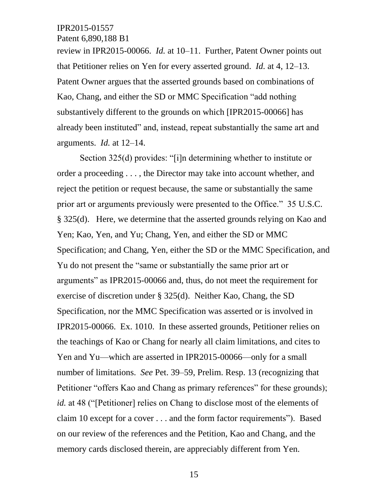Patent 6,890,188 B1

review in IPR2015-00066. *Id.* at 10–11. Further, Patent Owner points out that Petitioner relies on Yen for every asserted ground. *Id.* at 4, 12–13. Patent Owner argues that the asserted grounds based on combinations of Kao, Chang, and either the SD or MMC Specification "add nothing substantively different to the grounds on which [IPR2015-00066] has already been instituted" and, instead, repeat substantially the same art and arguments. *Id.* at 12–14.

Section 325(d) provides: "[i]n determining whether to institute or order a proceeding . . . , the Director may take into account whether, and reject the petition or request because, the same or substantially the same prior art or arguments previously were presented to the Office." 35 U.S.C. § 325(d). Here, we determine that the asserted grounds relying on Kao and Yen; Kao, Yen, and Yu; Chang, Yen, and either the SD or MMC Specification; and Chang, Yen, either the SD or the MMC Specification, and Yu do not present the "same or substantially the same prior art or arguments" as IPR2015-00066 and, thus, do not meet the requirement for exercise of discretion under § 325(d). Neither Kao, Chang, the SD Specification, nor the MMC Specification was asserted or is involved in IPR2015-00066. Ex. 1010. In these asserted grounds, Petitioner relies on the teachings of Kao or Chang for nearly all claim limitations, and cites to Yen and Yu—which are asserted in IPR2015-00066—only for a small number of limitations. *See* Pet. 39–59, Prelim. Resp. 13 (recognizing that Petitioner "offers Kao and Chang as primary references" for these grounds); *id.* at 48 ("[Petitioner] relies on Chang to disclose most of the elements of claim 10 except for a cover . . . and the form factor requirements"). Based on our review of the references and the Petition, Kao and Chang, and the memory cards disclosed therein, are appreciably different from Yen.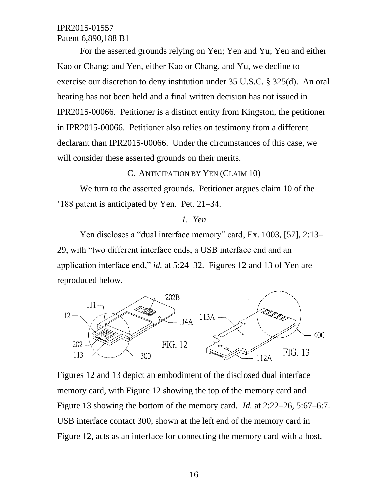For the asserted grounds relying on Yen; Yen and Yu; Yen and either Kao or Chang; and Yen, either Kao or Chang, and Yu, we decline to exercise our discretion to deny institution under 35 U.S.C. § 325(d). An oral hearing has not been held and a final written decision has not issued in IPR2015-00066. Petitioner is a distinct entity from Kingston, the petitioner in IPR2015-00066. Petitioner also relies on testimony from a different declarant than IPR2015-00066. Under the circumstances of this case, we will consider these asserted grounds on their merits.

### C. ANTICIPATION BY YEN (CLAIM 10)

We turn to the asserted grounds. Petitioner argues claim 10 of the '188 patent is anticipated by Yen. Pet. 21–34.

#### *1. Yen*

Yen discloses a "dual interface memory" card, Ex. 1003, [57], 2:13– 29, with "two different interface ends, a USB interface end and an application interface end," *id.* at 5:24–32. Figures 12 and 13 of Yen are reproduced below.



Figures 12 and 13 depict an embodiment of the disclosed dual interface memory card, with Figure 12 showing the top of the memory card and Figure 13 showing the bottom of the memory card. *Id.* at 2:22–26, 5:67–6:7. USB interface contact 300, shown at the left end of the memory card in Figure 12, acts as an interface for connecting the memory card with a host,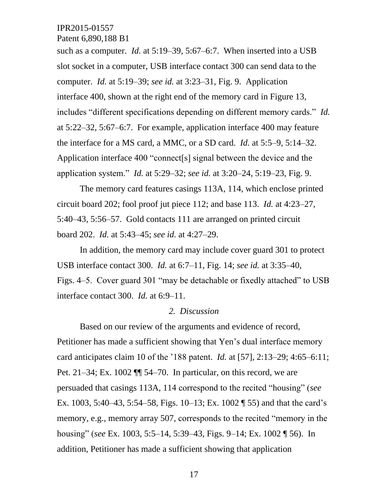Patent 6,890,188 B1

such as a computer. *Id.* at 5:19–39, 5:67–6:7. When inserted into a USB slot socket in a computer, USB interface contact 300 can send data to the computer. *Id.* at 5:19–39; *see id.* at 3:23–31, Fig. 9. Application interface 400, shown at the right end of the memory card in Figure 13, includes "different specifications depending on different memory cards." *Id.* at 5:22–32, 5:67–6:7. For example, application interface 400 may feature the interface for a MS card, a MMC, or a SD card. *Id.* at 5:5–9, 5:14–32. Application interface 400 "connect[s] signal between the device and the application system." *Id.* at 5:29–32; *see id.* at 3:20–24, 5:19–23, Fig. 9.

The memory card features casings 113A, 114, which enclose printed circuit board 202; fool proof jut piece 112; and base 113. *Id.* at 4:23–27, 5:40–43, 5:56–57. Gold contacts 111 are arranged on printed circuit board 202. *Id.* at 5:43–45; *see id.* at 4:27–29.

In addition, the memory card may include cover guard 301 to protect USB interface contact 300. *Id.* at 6:7–11, Fig. 14; *see id.* at 3:35–40, Figs. 4–5. Cover guard 301 "may be detachable or fixedly attached" to USB interface contact 300. *Id.* at 6:9–11.

### *2. Discussion*

Based on our review of the arguments and evidence of record, Petitioner has made a sufficient showing that Yen's dual interface memory card anticipates claim 10 of the '188 patent. *Id.* at [57], 2:13–29; 4:65–6:11; Pet. 21–34; Ex. 1002 ¶¶ 54–70. In particular, on this record, we are persuaded that casings 113A, 114 correspond to the recited "housing" (*see* Ex. 1003, 5:40–43, 5:54–58, Figs. 10–13; Ex. 1002 ¶ 55) and that the card's memory, e.g., memory array 507, corresponds to the recited "memory in the housing" (*see* Ex. 1003, 5:5–14, 5:39–43, Figs. 9–14; Ex. 1002 ¶ 56). In addition, Petitioner has made a sufficient showing that application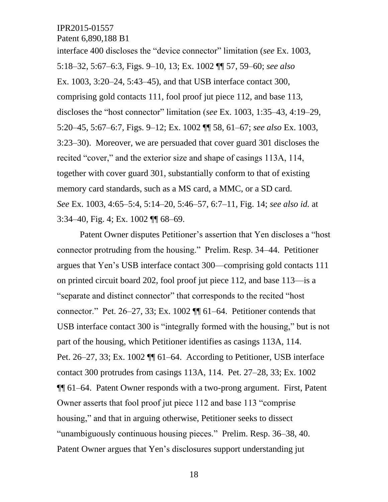Patent 6,890,188 B1

interface 400 discloses the "device connector" limitation (*see* Ex. 1003, 5:18–32, 5:67–6:3, Figs. 9–10, 13; Ex. 1002 ¶¶ 57, 59–60; *see also* Ex. 1003, 3:20–24, 5:43–45), and that USB interface contact 300, comprising gold contacts 111, fool proof jut piece 112, and base 113, discloses the "host connector" limitation (*see* Ex. 1003, 1:35–43, 4:19–29, 5:20–45, 5:67–6:7, Figs. 9–12; Ex. 1002 ¶¶ 58, 61–67; *see also* Ex. 1003, 3:23–30). Moreover, we are persuaded that cover guard 301 discloses the recited "cover," and the exterior size and shape of casings 113A, 114, together with cover guard 301, substantially conform to that of existing memory card standards, such as a MS card, a MMC, or a SD card. *See* Ex. 1003, 4:65–5:4, 5:14–20, 5:46–57, 6:7–11, Fig. 14; *see also id.* at 3:34–40, Fig. 4; Ex. 1002 ¶¶ 68–69.

Patent Owner disputes Petitioner's assertion that Yen discloses a "host connector protruding from the housing." Prelim. Resp. 34–44. Petitioner argues that Yen's USB interface contact 300—comprising gold contacts 111 on printed circuit board 202, fool proof jut piece 112, and base 113—is a "separate and distinct connector" that corresponds to the recited "host connector." Pet. 26–27, 33; Ex. 1002 ¶¶ 61–64. Petitioner contends that USB interface contact 300 is "integrally formed with the housing," but is not part of the housing, which Petitioner identifies as casings 113A, 114. Pet. 26–27, 33; Ex. 1002 ¶¶ 61–64. According to Petitioner, USB interface contact 300 protrudes from casings 113A, 114. Pet. 27–28, 33; Ex. 1002 ¶¶ 61–64. Patent Owner responds with a two-prong argument. First, Patent Owner asserts that fool proof jut piece 112 and base 113 "comprise housing," and that in arguing otherwise, Petitioner seeks to dissect "unambiguously continuous housing pieces." Prelim. Resp. 36–38, 40. Patent Owner argues that Yen's disclosures support understanding jut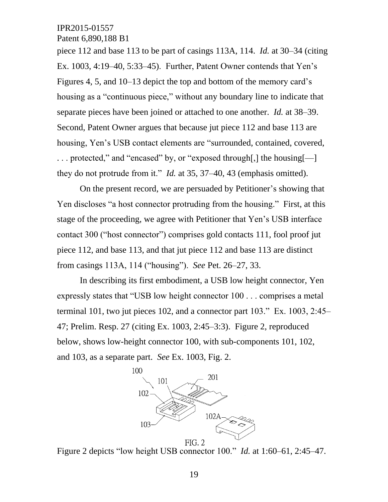Patent 6,890,188 B1

piece 112 and base 113 to be part of casings 113A, 114. *Id.* at 30–34 (citing Ex. 1003, 4:19–40, 5:33–45). Further, Patent Owner contends that Yen's Figures 4, 5, and 10–13 depict the top and bottom of the memory card's housing as a "continuous piece," without any boundary line to indicate that separate pieces have been joined or attached to one another. *Id.* at 38–39. Second, Patent Owner argues that because jut piece 112 and base 113 are housing, Yen's USB contact elements are "surrounded, contained, covered, . . . protected," and "encased" by, or "exposed through[,] the housing[—] they do not protrude from it." *Id.* at 35, 37–40, 43 (emphasis omitted).

On the present record, we are persuaded by Petitioner's showing that Yen discloses "a host connector protruding from the housing." First, at this stage of the proceeding, we agree with Petitioner that Yen's USB interface contact 300 ("host connector") comprises gold contacts 111, fool proof jut piece 112, and base 113, and that jut piece 112 and base 113 are distinct from casings 113A, 114 ("housing"). *See* Pet. 26–27, 33.

In describing its first embodiment, a USB low height connector, Yen expressly states that "USB low height connector 100 . . . comprises a metal terminal 101, two jut pieces 102, and a connector part 103." Ex. 1003, 2:45– 47; Prelim. Resp. 27 (citing Ex. 1003, 2:45–3:3). Figure 2, reproduced below, shows low-height connector 100, with sub-components 101, 102, and 103, as a separate part. *See* Ex. 1003, Fig. 2.



Figure 2 depicts "low height USB connector 100." *Id.* at 1:60–61, 2:45–47.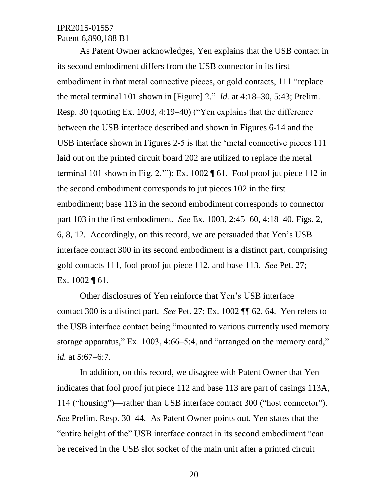As Patent Owner acknowledges, Yen explains that the USB contact in its second embodiment differs from the USB connector in its first embodiment in that metal connective pieces, or gold contacts, 111 "replace the metal terminal 101 shown in [Figure] 2." *Id.* at 4:18–30, 5:43; Prelim. Resp. 30 (quoting Ex. 1003, 4:19–40) ("Yen explains that the difference between the USB interface described and shown in Figures 6-14 and the USB interface shown in Figures 2-5 is that the 'metal connective pieces 111 laid out on the printed circuit board 202 are utilized to replace the metal terminal 101 shown in Fig. 2.'"); Ex. 1002  $\P$  61. Fool proof jut piece 112 in the second embodiment corresponds to jut pieces 102 in the first embodiment; base 113 in the second embodiment corresponds to connector part 103 in the first embodiment. *See* Ex. 1003, 2:45–60, 4:18–40, Figs. 2, 6, 8, 12. Accordingly, on this record, we are persuaded that Yen's USB interface contact 300 in its second embodiment is a distinct part, comprising gold contacts 111, fool proof jut piece 112, and base 113. *See* Pet. 27; Ex. 1002 ¶ 61.

Other disclosures of Yen reinforce that Yen's USB interface contact 300 is a distinct part. *See* Pet. 27; Ex. 1002 ¶¶ 62, 64. Yen refers to the USB interface contact being "mounted to various currently used memory storage apparatus," Ex. 1003, 4:66–5:4, and "arranged on the memory card," *id.* at 5:67–6:7.

In addition, on this record, we disagree with Patent Owner that Yen indicates that fool proof jut piece 112 and base 113 are part of casings 113A, 114 ("housing")—rather than USB interface contact 300 ("host connector"). *See* Prelim. Resp. 30–44. As Patent Owner points out, Yen states that the "entire height of the" USB interface contact in its second embodiment "can be received in the USB slot socket of the main unit after a printed circuit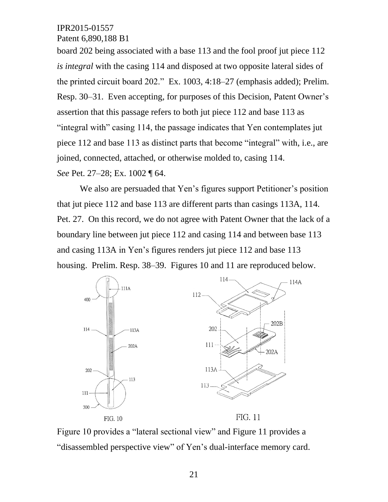Patent 6,890,188 B1

board 202 being associated with a base 113 and the fool proof jut piece 112 *is integral* with the casing 114 and disposed at two opposite lateral sides of the printed circuit board 202." Ex. 1003, 4:18–27 (emphasis added); Prelim. Resp. 30–31. Even accepting, for purposes of this Decision, Patent Owner's assertion that this passage refers to both jut piece 112 and base 113 as "integral with" casing 114, the passage indicates that Yen contemplates jut piece 112 and base 113 as distinct parts that become "integral" with, i.e., are joined, connected, attached, or otherwise molded to, casing 114. *See* Pet. 27–28; Ex. 1002 ¶ 64.

We also are persuaded that Yen's figures support Petitioner's position that jut piece 112 and base 113 are different parts than casings 113A, 114. Pet. 27. On this record, we do not agree with Patent Owner that the lack of a boundary line between jut piece 112 and casing 114 and between base 113 and casing 113A in Yen's figures renders jut piece 112 and base 113 housing. Prelim. Resp. 38–39. Figures 10 and 11 are reproduced below.



Figure 10 provides a "lateral sectional view" and Figure 11 provides a "disassembled perspective view" of Yen's dual-interface memory card.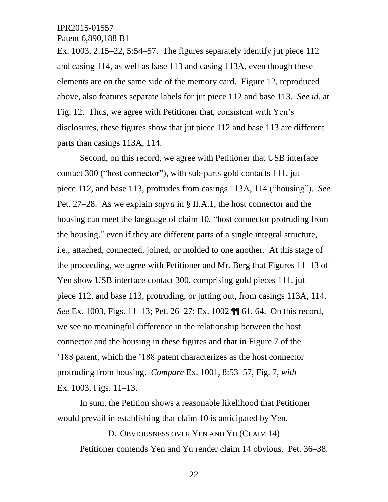Patent 6,890,188 B1

Ex. 1003, 2:15–22, 5:54–57. The figures separately identify jut piece 112 and casing 114, as well as base 113 and casing 113A, even though these elements are on the same side of the memory card. Figure 12, reproduced above, also features separate labels for jut piece 112 and base 113. *See id.* at Fig. 12. Thus, we agree with Petitioner that, consistent with Yen's disclosures, these figures show that jut piece 112 and base 113 are different parts than casings 113A, 114.

Second, on this record, we agree with Petitioner that USB interface contact 300 ("host connector"), with sub-parts gold contacts 111, jut piece 112, and base 113, protrudes from casings 113A, 114 ("housing"). *See*  Pet. 27–28. As we explain *supra* in § II.A.1, the host connector and the housing can meet the language of claim 10, "host connector protruding from the housing," even if they are different parts of a single integral structure, i.e., attached, connected, joined, or molded to one another. At this stage of the proceeding, we agree with Petitioner and Mr. Berg that Figures 11–13 of Yen show USB interface contact 300, comprising gold pieces 111, jut piece 112, and base 113, protruding, or jutting out, from casings 113A, 114. *See* Ex. 1003, Figs. 11–13; Pet. 26–27; Ex. 1002 ¶¶ 61, 64. On this record, we see no meaningful difference in the relationship between the host connector and the housing in these figures and that in Figure 7 of the '188 patent, which the '188 patent characterizes as the host connector protruding from housing. *Compare* Ex. 1001, 8:53–57, Fig. 7, *with*  Ex. 1003, Figs. 11–13.

In sum, the Petition shows a reasonable likelihood that Petitioner would prevail in establishing that claim 10 is anticipated by Yen.

D. OBVIOUSNESS OVER YEN AND YU (CLAIM 14) Petitioner contends Yen and Yu render claim 14 obvious. Pet. 36–38.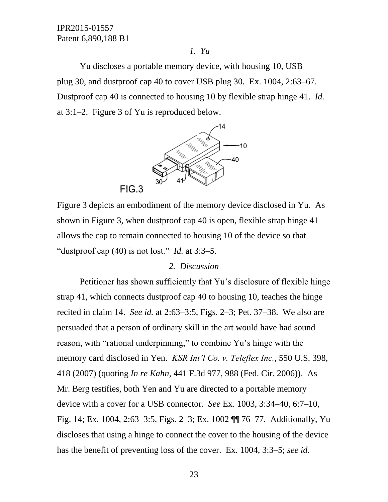#### *1. Yu*

Yu discloses a portable memory device, with housing 10, USB plug 30, and dustproof cap 40 to cover USB plug 30. Ex. 1004, 2:63–67. Dustproof cap 40 is connected to housing 10 by flexible strap hinge 41. *Id.* at 3:1–2. Figure 3 of Yu is reproduced below.



Figure 3 depicts an embodiment of the memory device disclosed in Yu. As shown in Figure 3, when dustproof cap 40 is open, flexible strap hinge 41 allows the cap to remain connected to housing 10 of the device so that "dustproof cap  $(40)$  is not lost." *Id.* at 3:3–5.

#### *2. Discussion*

Petitioner has shown sufficiently that Yu's disclosure of flexible hinge strap 41, which connects dustproof cap 40 to housing 10, teaches the hinge recited in claim 14. *See id.* at 2:63–3:5, Figs. 2–3; Pet. 37–38. We also are persuaded that a person of ordinary skill in the art would have had sound reason, with "rational underpinning," to combine Yu's hinge with the memory card disclosed in Yen. *KSR Int'l Co. v. Teleflex Inc.*, 550 U.S. 398, 418 (2007) (quoting *In re Kahn*, 441 F.3d 977, 988 (Fed. Cir. 2006)). As Mr. Berg testifies, both Yen and Yu are directed to a portable memory device with a cover for a USB connector. *See* Ex. 1003, 3:34–40, 6:7–10, Fig. 14; Ex. 1004, 2:63–3:5, Figs. 2–3; Ex. 1002 ¶¶ 76–77. Additionally, Yu discloses that using a hinge to connect the cover to the housing of the device has the benefit of preventing loss of the cover. Ex. 1004, 3:3–5; *see id.*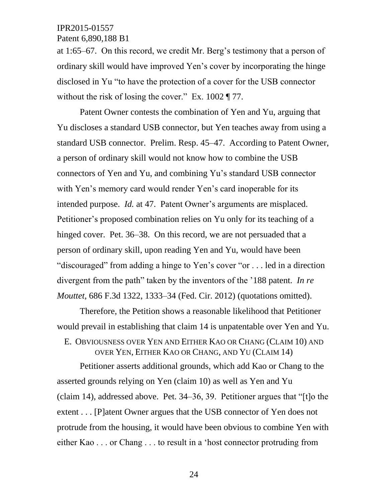Patent 6,890,188 B1

at 1:65–67. On this record, we credit Mr. Berg's testimony that a person of ordinary skill would have improved Yen's cover by incorporating the hinge disclosed in Yu "to have the protection of a cover for the USB connector without the risk of losing the cover." Ex. 1002 ¶ 77.

Patent Owner contests the combination of Yen and Yu, arguing that Yu discloses a standard USB connector, but Yen teaches away from using a standard USB connector. Prelim. Resp. 45–47. According to Patent Owner, a person of ordinary skill would not know how to combine the USB connectors of Yen and Yu, and combining Yu's standard USB connector with Yen's memory card would render Yen's card inoperable for its intended purpose. *Id.* at 47. Patent Owner's arguments are misplaced. Petitioner's proposed combination relies on Yu only for its teaching of a hinged cover. Pet. 36–38. On this record, we are not persuaded that a person of ordinary skill, upon reading Yen and Yu, would have been "discouraged" from adding a hinge to Yen's cover "or . . . led in a direction divergent from the path" taken by the inventors of the '188 patent. *In re Mouttet*, 686 F.3d 1322, 1333–34 (Fed. Cir. 2012) (quotations omitted).

Therefore, the Petition shows a reasonable likelihood that Petitioner would prevail in establishing that claim 14 is unpatentable over Yen and Yu.

E. OBVIOUSNESS OVER YEN AND EITHER KAO OR CHANG (CLAIM 10) AND OVER YEN, EITHER KAO OR CHANG, AND YU (CLAIM 14)

Petitioner asserts additional grounds, which add Kao or Chang to the asserted grounds relying on Yen (claim 10) as well as Yen and Yu (claim 14), addressed above. Pet. 34–36, 39. Petitioner argues that "[t]o the extent . . . [P]atent Owner argues that the USB connector of Yen does not protrude from the housing, it would have been obvious to combine Yen with either Kao . . . or Chang . . . to result in a 'host connector protruding from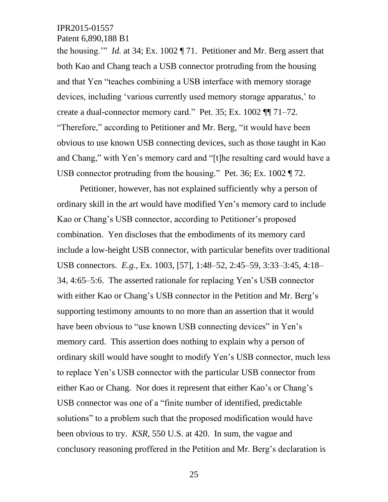Patent 6,890,188 B1

the housing.'" *Id.* at 34; Ex. 1002 ¶ 71. Petitioner and Mr. Berg assert that both Kao and Chang teach a USB connector protruding from the housing and that Yen "teaches combining a USB interface with memory storage devices, including 'various currently used memory storage apparatus,' to create a dual-connector memory card." Pet. 35; Ex. 1002 ¶¶ 71–72. "Therefore," according to Petitioner and Mr. Berg, "it would have been obvious to use known USB connecting devices, such as those taught in Kao and Chang," with Yen's memory card and "[t]he resulting card would have a USB connector protruding from the housing." Pet. 36; Ex. 1002 ¶ 72.

Petitioner, however, has not explained sufficiently why a person of ordinary skill in the art would have modified Yen's memory card to include Kao or Chang's USB connector, according to Petitioner's proposed combination. Yen discloses that the embodiments of its memory card include a low-height USB connector, with particular benefits over traditional USB connectors. *E.g.*, Ex. 1003, [57], 1:48–52, 2:45–59, 3:33–3:45, 4:18– 34, 4:65–5:6. The asserted rationale for replacing Yen's USB connector with either Kao or Chang's USB connector in the Petition and Mr. Berg's supporting testimony amounts to no more than an assertion that it would have been obvious to "use known USB connecting devices" in Yen's memory card. This assertion does nothing to explain why a person of ordinary skill would have sought to modify Yen's USB connector, much less to replace Yen's USB connector with the particular USB connector from either Kao or Chang. Nor does it represent that either Kao's or Chang's USB connector was one of a "finite number of identified, predictable solutions" to a problem such that the proposed modification would have been obvious to try. *KSR*, 550 U.S. at 420. In sum, the vague and conclusory reasoning proffered in the Petition and Mr. Berg's declaration is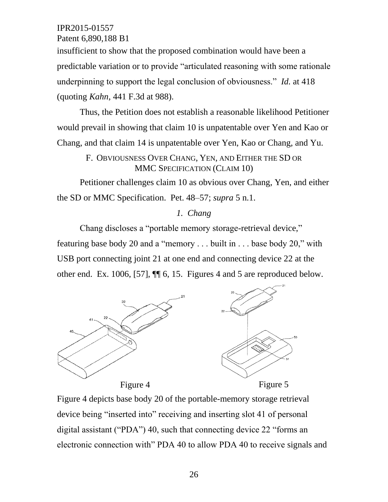Patent 6,890,188 B1

insufficient to show that the proposed combination would have been a predictable variation or to provide "articulated reasoning with some rationale underpinning to support the legal conclusion of obviousness." *Id.* at 418 (quoting *Kahn*, 441 F.3d at 988).

Thus, the Petition does not establish a reasonable likelihood Petitioner would prevail in showing that claim 10 is unpatentable over Yen and Kao or Chang, and that claim 14 is unpatentable over Yen, Kao or Chang, and Yu.

# F. OBVIOUSNESS OVER CHANG, YEN, AND EITHER THE SD OR MMC SPECIFICATION (CLAIM 10)

Petitioner challenges claim 10 as obvious over Chang, Yen, and either the SD or MMC Specification. Pet. 48–57; *supra* 5 n.1.

# *1. Chang*

Chang discloses a "portable memory storage-retrieval device," featuring base body 20 and a "memory . . . built in . . . base body 20," with USB port connecting joint 21 at one end and connecting device 22 at the other end. Ex. 1006, [57], ¶¶ 6, 15. Figures 4 and 5 are reproduced below.



Figure 4 depicts base body 20 of the portable-memory storage retrieval device being "inserted into" receiving and inserting slot 41 of personal digital assistant ("PDA") 40, such that connecting device 22 "forms an electronic connection with" PDA 40 to allow PDA 40 to receive signals and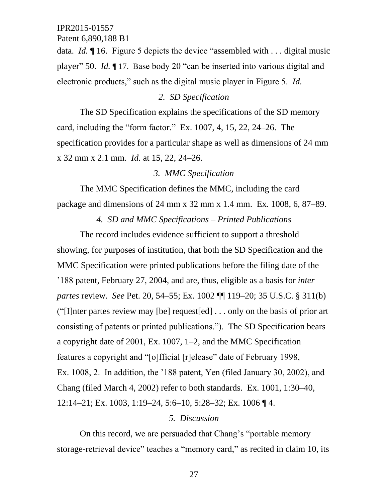Patent 6,890,188 B1

data. *Id.* ¶ 16. Figure 5 depicts the device "assembled with . . . digital music player" 50. *Id.* ¶ 17. Base body 20 "can be inserted into various digital and electronic products," such as the digital music player in Figure 5. *Id.*

# *2. SD Specification*

The SD Specification explains the specifications of the SD memory card, including the "form factor." Ex. 1007, 4, 15, 22, 24–26. The specification provides for a particular shape as well as dimensions of 24 mm x 32 mm x 2.1 mm. *Id.* at 15, 22, 24–26.

### *3. MMC Specification*

The MMC Specification defines the MMC, including the card package and dimensions of 24 mm x 32 mm x 1.4 mm. Ex. 1008, 6, 87–89.

*4. SD and MMC Specifications – Printed Publications*

The record includes evidence sufficient to support a threshold showing, for purposes of institution, that both the SD Specification and the MMC Specification were printed publications before the filing date of the '188 patent, February 27, 2004, and are, thus, eligible as a basis for *inter partes* review. *See* Pet. 20, 54–55; Ex. 1002 ¶¶ 119–20; 35 U.S.C. § 311(b) ("[I]nter partes review may [be] request[ed] . . . only on the basis of prior art consisting of patents or printed publications."). The SD Specification bears a copyright date of 2001, Ex. 1007, 1–2, and the MMC Specification features a copyright and "[o]fficial [r]elease" date of February 1998, Ex. 1008, 2. In addition, the '188 patent, Yen (filed January 30, 2002), and Chang (filed March 4, 2002) refer to both standards. Ex. 1001, 1:30–40, 12:14–21; Ex. 1003, 1:19–24, 5:6–10, 5:28–32; Ex. 1006 ¶ 4.

### *5. Discussion*

On this record, we are persuaded that Chang's "portable memory storage-retrieval device" teaches a "memory card," as recited in claim 10, its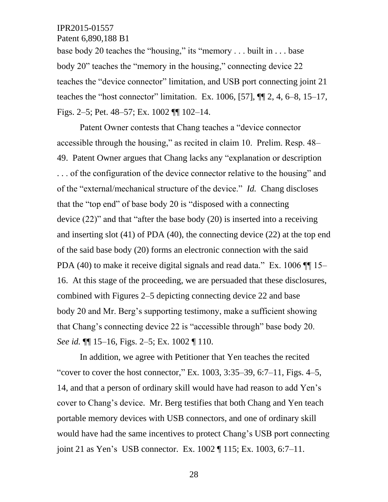Patent 6,890,188 B1

base body 20 teaches the "housing," its "memory . . . built in . . . base body 20" teaches the "memory in the housing," connecting device 22 teaches the "device connector" limitation, and USB port connecting joint 21 teaches the "host connector" limitation. Ex. 1006, [57],  $\P\P$  2, 4, 6–8, 15–17, Figs. 2–5; Pet. 48–57; Ex. 1002 ¶¶ 102–14.

Patent Owner contests that Chang teaches a "device connector accessible through the housing," as recited in claim 10. Prelim. Resp. 48– 49. Patent Owner argues that Chang lacks any "explanation or description . . . of the configuration of the device connector relative to the housing" and of the "external/mechanical structure of the device." *Id.* Chang discloses that the "top end" of base body 20 is "disposed with a connecting device (22)" and that "after the base body (20) is inserted into a receiving and inserting slot (41) of PDA (40), the connecting device (22) at the top end of the said base body (20) forms an electronic connection with the said PDA (40) to make it receive digital signals and read data." Ex. 1006 ¶¶ 15– 16. At this stage of the proceeding, we are persuaded that these disclosures, combined with Figures 2–5 depicting connecting device 22 and base body 20 and Mr. Berg's supporting testimony, make a sufficient showing that Chang's connecting device 22 is "accessible through" base body 20. *See id.* ¶¶ 15–16, Figs. 2–5; Ex. 1002 ¶ 110.

In addition, we agree with Petitioner that Yen teaches the recited "cover to cover the host connector," Ex.  $1003, 3:35-39, 6:7-11$ , Figs. 4-5, 14, and that a person of ordinary skill would have had reason to add Yen's cover to Chang's device. Mr. Berg testifies that both Chang and Yen teach portable memory devices with USB connectors, and one of ordinary skill would have had the same incentives to protect Chang's USB port connecting joint 21 as Yen's USB connector. Ex. 1002 ¶ 115; Ex. 1003, 6:7–11.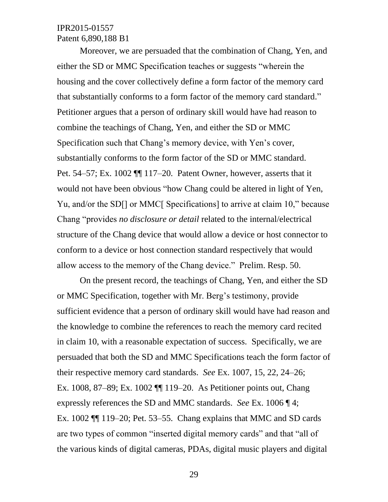Moreover, we are persuaded that the combination of Chang, Yen, and either the SD or MMC Specification teaches or suggests "wherein the housing and the cover collectively define a form factor of the memory card that substantially conforms to a form factor of the memory card standard." Petitioner argues that a person of ordinary skill would have had reason to combine the teachings of Chang, Yen, and either the SD or MMC Specification such that Chang's memory device, with Yen's cover, substantially conforms to the form factor of the SD or MMC standard. Pet. 54–57; Ex. 1002 ¶¶ 117–20. Patent Owner, however, asserts that it would not have been obvious "how Chang could be altered in light of Yen, Yu, and/or the SD[] or MMC[ Specifications] to arrive at claim 10," because Chang "provides *no disclosure or detail* related to the internal/electrical structure of the Chang device that would allow a device or host connector to conform to a device or host connection standard respectively that would allow access to the memory of the Chang device." Prelim. Resp. 50.

On the present record, the teachings of Chang, Yen, and either the SD or MMC Specification, together with Mr. Berg's testimony, provide sufficient evidence that a person of ordinary skill would have had reason and the knowledge to combine the references to reach the memory card recited in claim 10, with a reasonable expectation of success. Specifically, we are persuaded that both the SD and MMC Specifications teach the form factor of their respective memory card standards. *See* Ex. 1007, 15, 22, 24–26; Ex. 1008, 87–89; Ex. 1002 ¶¶ 119–20. As Petitioner points out, Chang expressly references the SD and MMC standards. *See* Ex. 1006 ¶ 4; Ex. 1002 ¶¶ 119–20; Pet. 53–55. Chang explains that MMC and SD cards are two types of common "inserted digital memory cards" and that "all of the various kinds of digital cameras, PDAs, digital music players and digital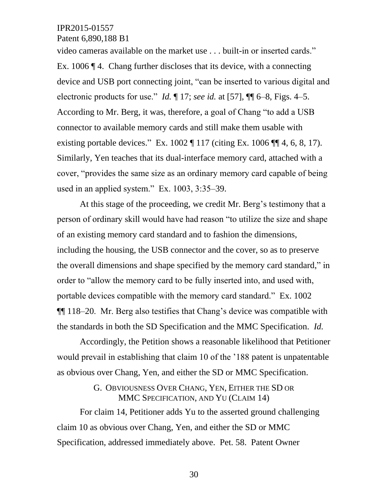Patent 6,890,188 B1

video cameras available on the market use . . . built-in or inserted cards." Ex. 1006 ¶ 4. Chang further discloses that its device, with a connecting device and USB port connecting joint, "can be inserted to various digital and electronic products for use." *Id.* ¶ 17; *see id.* at [57], ¶¶ 6–8, Figs. 4–5. According to Mr. Berg, it was, therefore, a goal of Chang "to add a USB connector to available memory cards and still make them usable with existing portable devices." Ex.  $1002 \text{ T} 117$  (citing Ex.  $1006 \text{ T} 4, 6, 8, 17$ ). Similarly, Yen teaches that its dual-interface memory card, attached with a cover, "provides the same size as an ordinary memory card capable of being used in an applied system." Ex. 1003, 3:35–39.

At this stage of the proceeding, we credit Mr. Berg's testimony that a person of ordinary skill would have had reason "to utilize the size and shape of an existing memory card standard and to fashion the dimensions, including the housing, the USB connector and the cover, so as to preserve the overall dimensions and shape specified by the memory card standard," in order to "allow the memory card to be fully inserted into, and used with, portable devices compatible with the memory card standard." Ex. 1002 ¶¶ 118–20. Mr. Berg also testifies that Chang's device was compatible with the standards in both the SD Specification and the MMC Specification. *Id.*

Accordingly, the Petition shows a reasonable likelihood that Petitioner would prevail in establishing that claim 10 of the '188 patent is unpatentable as obvious over Chang, Yen, and either the SD or MMC Specification.

# G. OBVIOUSNESS OVER CHANG, YEN, EITHER THE SD OR MMC SPECIFICATION, AND YU (CLAIM 14)

For claim 14, Petitioner adds Yu to the asserted ground challenging claim 10 as obvious over Chang, Yen, and either the SD or MMC Specification, addressed immediately above. Pet. 58. Patent Owner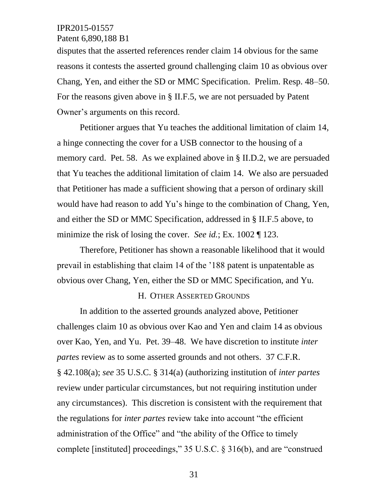### Patent 6,890,188 B1

disputes that the asserted references render claim 14 obvious for the same reasons it contests the asserted ground challenging claim 10 as obvious over Chang, Yen, and either the SD or MMC Specification. Prelim. Resp. 48–50. For the reasons given above in § II.F.5, we are not persuaded by Patent Owner's arguments on this record.

Petitioner argues that Yu teaches the additional limitation of claim 14, a hinge connecting the cover for a USB connector to the housing of a memory card. Pet. 58. As we explained above in § II.D.2, we are persuaded that Yu teaches the additional limitation of claim 14. We also are persuaded that Petitioner has made a sufficient showing that a person of ordinary skill would have had reason to add Yu's hinge to the combination of Chang, Yen, and either the SD or MMC Specification, addressed in § II.F.5 above, to minimize the risk of losing the cover. *See id.*; Ex. 1002 ¶ 123.

Therefore, Petitioner has shown a reasonable likelihood that it would prevail in establishing that claim 14 of the '188 patent is unpatentable as obvious over Chang, Yen, either the SD or MMC Specification, and Yu.

#### H. OTHER ASSERTED GROUNDS

In addition to the asserted grounds analyzed above, Petitioner challenges claim 10 as obvious over Kao and Yen and claim 14 as obvious over Kao, Yen, and Yu. Pet. 39–48. We have discretion to institute *inter partes* review as to some asserted grounds and not others. 37 C.F.R. § 42.108(a); *see* 35 U.S.C. § 314(a) (authorizing institution of *inter partes* review under particular circumstances, but not requiring institution under any circumstances). This discretion is consistent with the requirement that the regulations for *inter partes* review take into account "the efficient administration of the Office" and "the ability of the Office to timely complete [instituted] proceedings," 35 U.S.C. § 316(b), and are "construed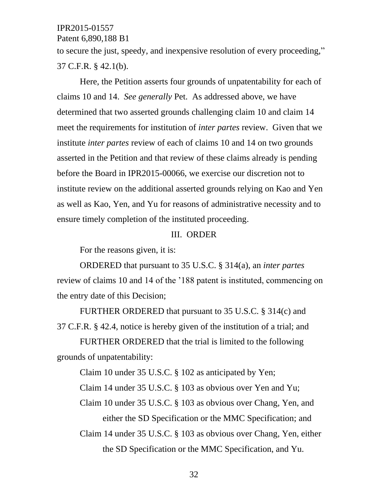Patent 6,890,188 B1

to secure the just, speedy, and inexpensive resolution of every proceeding," 37 C.F.R. § 42.1(b).

Here, the Petition asserts four grounds of unpatentability for each of claims 10 and 14. *See generally* Pet. As addressed above, we have determined that two asserted grounds challenging claim 10 and claim 14 meet the requirements for institution of *inter partes* review. Given that we institute *inter partes* review of each of claims 10 and 14 on two grounds asserted in the Petition and that review of these claims already is pending before the Board in IPR2015-00066, we exercise our discretion not to institute review on the additional asserted grounds relying on Kao and Yen as well as Kao, Yen, and Yu for reasons of administrative necessity and to ensure timely completion of the instituted proceeding.

### III. ORDER

For the reasons given, it is:

ORDERED that pursuant to 35 U.S.C. § 314(a), an *inter partes* review of claims 10 and 14 of the '188 patent is instituted, commencing on the entry date of this Decision;

FURTHER ORDERED that pursuant to 35 U.S.C. § 314(c) and 37 C.F.R. § 42.4, notice is hereby given of the institution of a trial; and

FURTHER ORDERED that the trial is limited to the following grounds of unpatentability:

Claim 10 under 35 U.S.C. § 102 as anticipated by Yen;

Claim 14 under 35 U.S.C. § 103 as obvious over Yen and Yu;

Claim 10 under 35 U.S.C. § 103 as obvious over Chang, Yen, and either the SD Specification or the MMC Specification; and

Claim 14 under 35 U.S.C. § 103 as obvious over Chang, Yen, either the SD Specification or the MMC Specification, and Yu.